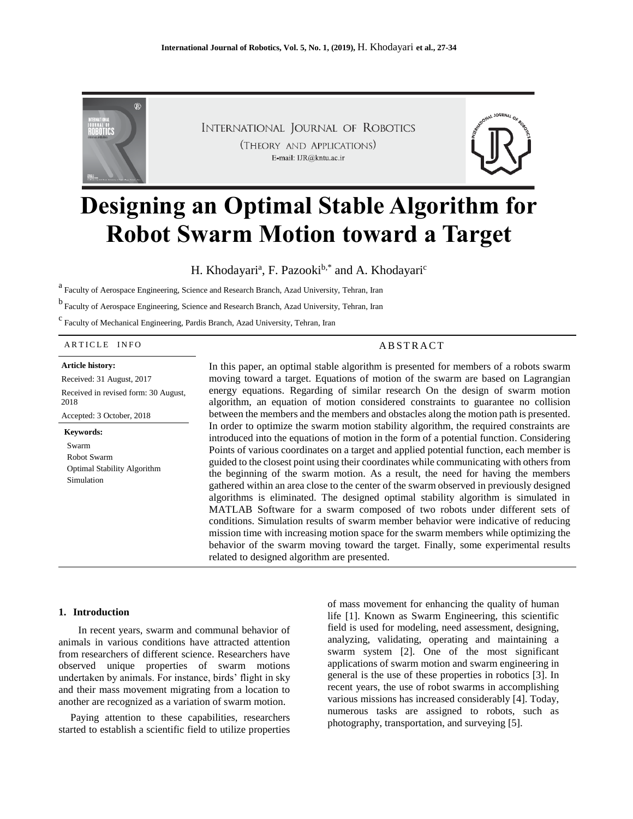

INTERNATIONAL JOURNAL OF ROBOTICS (THEORY AND APPLICATIONS) E-mail: IJR@kntu.ac.ir



# **Designing an Optimal Stable Algorithm for Robot Swarm Motion toward a Target**

H. Khodayari<sup>a</sup>, F. Pazooki<sup>b,\*</sup> and A. Khodayari<sup>c</sup>

a<br>Faculty of Aerospace Engineering, Science and Research Branch, Azad University, Tehran, Iran

b Faculty of Aerospace Engineering, Science and Research Branch, Azad University, Tehran, Iran

c<br>Faculty of Mechanical Engineering, Pardis Branch, Azad University, Tehran, Iran

#### ARTICLE INFO ABSTRACT

#### **Article history:**

Received: 31 August, 2017 Received in revised form: 30 August, 2018 Accepted: 3 October, 2018

**Keywords:** Swarm Robot Swarm Optimal Stability Algorithm Simulation

In this paper, an optimal stable algorithm is presented for members of a robots swarm moving toward a target. Equations of motion of the swarm are based on Lagrangian energy equations. Regarding of similar research On the design of swarm motion algorithm, an equation of motion considered constraints to guarantee no collision between the members and the members and obstacles along the motion path is presented. In order to optimize the swarm motion stability algorithm, the required constraints are introduced into the equations of motion in the form of a potential function. Considering Points of various coordinates on a target and applied potential function, each member is guided to the closest point using their coordinates while communicating with others from the beginning of the swarm motion. As a result, the need for having the members gathered within an area close to the center of the swarm observed in previously designed algorithms is eliminated. The designed optimal stability algorithm is simulated in MATLAB Software for a swarm composed of two robots under different sets of conditions. Simulation results of swarm member behavior were indicative of reducing mission time with increasing motion space for the swarm members while optimizing the behavior of the swarm moving toward the target. Finally, some experimental results related to designed algorithm are presented.

#### **1. Introduction**

 In recent years, swarm and communal behavior of animals in various conditions have attracted attention from researchers of different science. Researchers have observed unique properties of swarm motions undertaken by animals. For instance, birds' flight in sky and their mass movement migrating from a location to another are recognized as a variation of swarm motion.

Paying attention to these capabilities, researchers started to establish a scientific field to utilize properties of mass movement for enhancing the quality of human life [1]. Known as Swarm Engineering, this scientific field is used for modeling, need assessment, designing, analyzing, validating, operating and maintaining a swarm system [2]. One of the most significant applications of swarm motion and swarm engineering in general is the use of these properties in robotics [3]. In recent years, the use of robot swarms in accomplishing various missions has increased considerably [4]. Today, numerous tasks are assigned to robots, such as photography, transportation, and surveying [5].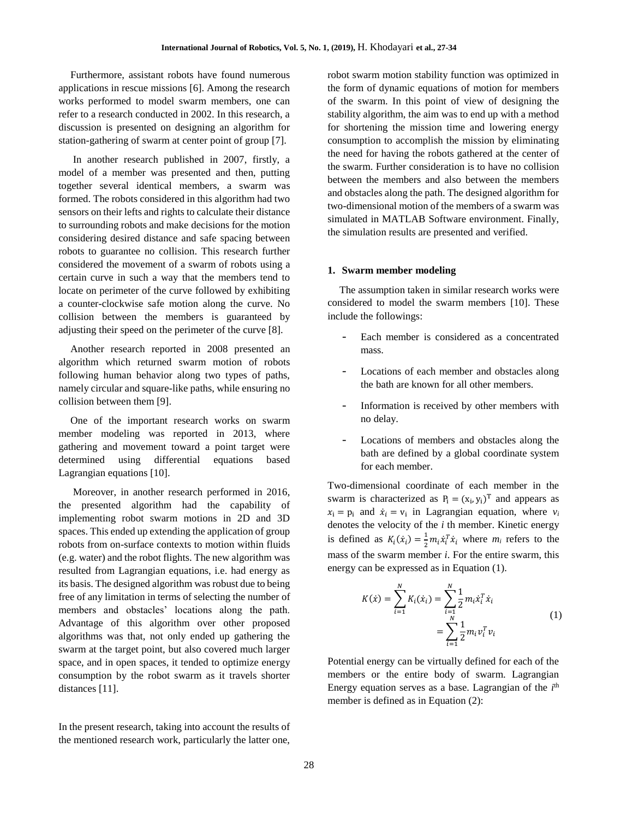Furthermore, assistant robots have found numerous applications in rescue missions [6]. Among the research works performed to model swarm members, one can refer to a research conducted in 2002. In this research, a discussion is presented on designing an algorithm for station-gathering of swarm at center point of group [7].

In another research published in 2007, firstly, a model of a member was presented and then, putting together several identical members, a swarm was formed. The robots considered in this algorithm had two sensors on their lefts and rights to calculate their distance to surrounding robots and make decisions for the motion considering desired distance and safe spacing between robots to guarantee no collision. This research further considered the movement of a swarm of robots using a certain curve in such a way that the members tend to locate on perimeter of the curve followed by exhibiting a counter-clockwise safe motion along the curve. No collision between the members is guaranteed by adjusting their speed on the perimeter of the curve [8].

Another research reported in 2008 presented an algorithm which returned swarm motion of robots following human behavior along two types of paths, namely circular and square-like paths, while ensuring no collision between them [9].

One of the important research works on swarm member modeling was reported in 2013, where gathering and movement toward a point target were determined using differential equations based Lagrangian equations [10].

Moreover, in another research performed in 2016, the presented algorithm had the capability of implementing robot swarm motions in 2D and 3D spaces. This ended up extending the application of group robots from on-surface contexts to motion within fluids (e.g. water) and the robot flights. The new algorithm was resulted from Lagrangian equations, i.e. had energy as its basis. The designed algorithm was robust due to being free of any limitation in terms of selecting the number of members and obstacles' locations along the path. Advantage of this algorithm over other proposed algorithms was that, not only ended up gathering the swarm at the target point, but also covered much larger space, and in open spaces, it tended to optimize energy consumption by the robot swarm as it travels shorter distances [11].

In the present research, taking into account the results of the mentioned research work, particularly the latter one,

robot swarm motion stability function was optimized in the form of dynamic equations of motion for members of the swarm. In this point of view of designing the stability algorithm, the aim was to end up with a method for shortening the mission time and lowering energy consumption to accomplish the mission by eliminating the need for having the robots gathered at the center of the swarm. Further consideration is to have no collision between the members and also between the members and obstacles along the path. The designed algorithm for two-dimensional motion of the members of a swarm was simulated in MATLAB Software environment. Finally, the simulation results are presented and verified.

### **1. Swarm member modeling**

The assumption taken in similar research works were considered to model the swarm members [10]. These include the followings:

- Each member is considered as a concentrated mass.
- Locations of each member and obstacles along the bath are known for all other members.
- Information is received by other members with no delay.
- Locations of members and obstacles along the bath are defined by a global coordinate system for each member.

Two-dimensional coordinate of each member in the swarm is characterized as  $P_i = (x_i, y_i)^T$  and appears as  $x_i = p_i$  and  $\dot{x}_i = v_i$  in Lagrangian equation, where  $v_i$ denotes the velocity of the *i* th member. Kinetic energy is defined as  $K_i(\dot{x}_i) = \frac{1}{2}$  $\frac{1}{2}m_i\dot{x}_i^T\dot{x}_i$  where  $m_i$  refers to the mass of the swarm member *i*. For the entire swarm, this energy can be expressed as in Equation (1).

$$
K(\dot{x}) = \sum_{i=1}^{N} K_i(\dot{x}_i) = \sum_{i=1}^{N} \frac{1}{2} m_i \dot{x}_i^T \dot{x}_i
$$
  
= 
$$
\sum_{i=1}^{N} \frac{1}{2} m_i v_i^T v_i
$$
 (1)

Potential energy can be virtually defined for each of the members or the entire body of swarm. Lagrangian Energy equation serves as a base. Lagrangian of the  $i<sup>th</sup>$ member is defined as in Equation (2):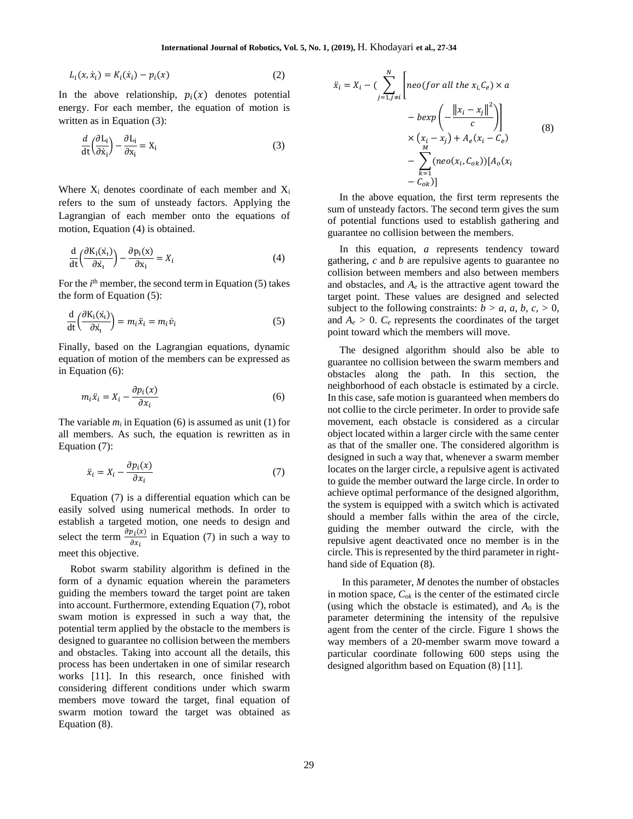$$
L_i(x, \dot{x}_i) = K_i(\dot{x}_i) - p_i(x)
$$
 (2)

In the above relationship,  $p_i(x)$  denotes potential energy. For each member, the equation of motion is written as in Equation (3):

$$
\frac{d}{dt} \left( \frac{\partial L_i}{\partial \dot{x}_i} \right) - \frac{\partial L_i}{\partial x_i} = X_i
$$
\n(3)

Where  $X_i$  denotes coordinate of each member and  $X_i$ refers to the sum of unsteady factors. Applying the Lagrangian of each member onto the equations of motion, Equation (4) is obtained.

$$
\frac{d}{dt} \left( \frac{\partial K_i(x_i)}{\partial \dot{x}_i} \right) - \frac{\partial p_i(x)}{\partial x_i} = X_i
$$
 (4)

For the  $i<sup>th</sup>$  member, the second term in Equation (5) takes the form of Equation (5):

$$
\frac{d}{dt} \left( \frac{\partial K_i(\dot{x}_i)}{\partial \dot{x}_i} \right) = m_i \ddot{x}_i = m_i \dot{v}_i \tag{5}
$$

Finally, based on the Lagrangian equations, dynamic equation of motion of the members can be expressed as in Equation (6):

$$
m_i \ddot{x}_i = X_i - \frac{\partial p_i(x)}{\partial x_i} \tag{6}
$$

The variable  $m_i$  in Equation (6) is assumed as unit (1) for all members. As such, the equation is rewritten as in Equation (7):

$$
\ddot{x}_i = X_i - \frac{\partial p_i(x)}{\partial x_i} \tag{7}
$$

Equation (7) is a differential equation which can be easily solved using numerical methods. In order to establish a targeted motion, one needs to design and select the term  $\frac{\partial p_i(x)}{\partial x}$  $\frac{\partial u(x)}{\partial x_i}$  in Equation (7) in such a way to meet this objective.

Robot swarm stability algorithm is defined in the form of a dynamic equation wherein the parameters guiding the members toward the target point are taken into account. Furthermore, extending Equation (7), robot swam motion is expressed in such a way that, the potential term applied by the obstacle to the members is designed to guarantee no collision between the members and obstacles. Taking into account all the details, this process has been undertaken in one of similar research works [11]. In this research, once finished with considering different conditions under which swarm members move toward the target, final equation of swarm motion toward the target was obtained as Equation (8).

$$
\ddot{x}_i = X_i - \left(\sum_{j=1, j\neq i}^N \left[ \text{neo}(for all the x_i, C_e) \times a \n- \text{bexp}\left(-\frac{\|x_i - x_j\|^2}{c}\right) \right] \times \left(x_i - x_j\right) + A_e(x_i - C_e) \n- \sum_{k=1}^M (\text{neo}(x_i, C_{ok})) [A_o(x_i - C_{ok})]
$$
\n(8)

In the above equation, the first term represents the sum of unsteady factors. The second term gives the sum of potential functions used to establish gathering and guarantee no collision between the members.

In this equation, *a* represents tendency toward gathering, *c* and *b* are repulsive agents to guarantee no collision between members and also between members and obstacles, and  $A_e$  is the attractive agent toward the target point. These values are designed and selected subject to the following constraints:  $b > a$ ,  $a$ ,  $b$ ,  $c$ ,  $> 0$ , and  $A_e > 0$ .  $C_e$  represents the coordinates of the target point toward which the members will move.

The designed algorithm should also be able to guarantee no collision between the swarm members and obstacles along the path. In this section, the neighborhood of each obstacle is estimated by a circle. In this case, safe motion is guaranteed when members do not collie to the circle perimeter. In order to provide safe movement, each obstacle is considered as a circular object located within a larger circle with the same center as that of the smaller one. The considered algorithm is designed in such a way that, whenever a swarm member locates on the larger circle, a repulsive agent is activated to guide the member outward the large circle. In order to achieve optimal performance of the designed algorithm, the system is equipped with a switch which is activated should a member falls within the area of the circle, guiding the member outward the circle, with the repulsive agent deactivated once no member is in the circle. This is represented by the third parameter in righthand side of Equation (8).

In this parameter, *M* denotes the number of obstacles in motion space, *Cok* is the center of the estimated circle (using which the obstacle is estimated), and *A*<sup>0</sup> is the parameter determining the intensity of the repulsive agent from the center of the circle. Figure 1 shows the way members of a 20-member swarm move toward a particular coordinate following 600 steps using the designed algorithm based on Equation (8) [11].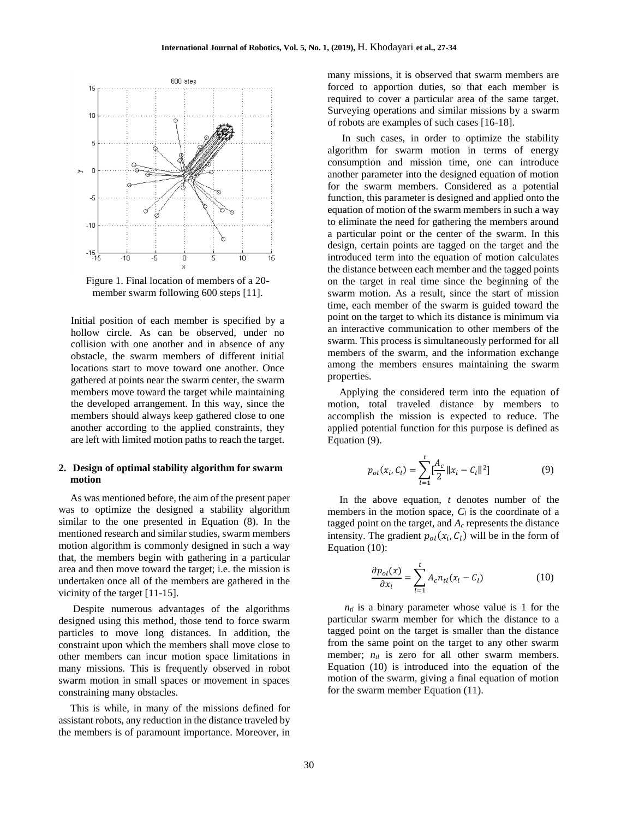

Figure 1. Final location of members of a 20 member swarm following 600 steps [11].

Initial position of each member is specified by a hollow circle. As can be observed, under no collision with one another and in absence of any obstacle, the swarm members of different initial locations start to move toward one another. Once gathered at points near the swarm center, the swarm members move toward the target while maintaining the developed arrangement. In this way, since the members should always keep gathered close to one another according to the applied constraints, they are left with limited motion paths to reach the target.

# **2. Design of optimal stability algorithm for swarm motion**

As was mentioned before, the aim of the present paper was to optimize the designed a stability algorithm similar to the one presented in Equation (8). In the mentioned research and similar studies, swarm members motion algorithm is commonly designed in such a way that, the members begin with gathering in a particular area and then move toward the target; i.e. the mission is undertaken once all of the members are gathered in the vicinity of the target [11-15].

Despite numerous advantages of the algorithms designed using this method, those tend to force swarm particles to move long distances. In addition, the constraint upon which the members shall move close to other members can incur motion space limitations in many missions. This is frequently observed in robot swarm motion in small spaces or movement in spaces constraining many obstacles.

This is while, in many of the missions defined for assistant robots, any reduction in the distance traveled by the members is of paramount importance. Moreover, in

many missions, it is observed that swarm members are forced to apportion duties, so that each member is required to cover a particular area of the same target. Surveying operations and similar missions by a swarm of robots are examples of such cases [16-18].

In such cases, in order to optimize the stability algorithm for swarm motion in terms of energy consumption and mission time, one can introduce another parameter into the designed equation of motion for the swarm members. Considered as a potential function, this parameter is designed and applied onto the equation of motion of the swarm members in such a way to eliminate the need for gathering the members around a particular point or the center of the swarm. In this design, certain points are tagged on the target and the introduced term into the equation of motion calculates the distance between each member and the tagged points on the target in real time since the beginning of the swarm motion. As a result, since the start of mission time, each member of the swarm is guided toward the point on the target to which its distance is minimum via an interactive communication to other members of the swarm. This process is simultaneously performed for all members of the swarm, and the information exchange among the members ensures maintaining the swarm properties.

Applying the considered term into the equation of motion, total traveled distance by members to accomplish the mission is expected to reduce. The applied potential function for this purpose is defined as Equation (9).

$$
p_{ol}(x_i, C_l) = \sum_{l=1}^{t} \left[\frac{A_c}{2} ||x_i - C_l||^2\right]
$$
 (9)

In the above equation, *t* denotes number of the members in the motion space,  $C_l$  is the coordinate of a tagged point on the target, and *A<sup>c</sup>* represents the distance intensity. The gradient  $p_{ol}(x_i, C_l)$  will be in the form of Equation (10):

$$
\frac{\partial p_{ol}(x)}{\partial x_i} = \sum_{l=1}^t A_c n_{tl}(x_l - C_l)
$$
(10)

 $n_{tl}$  is a binary parameter whose value is 1 for the particular swarm member for which the distance to a tagged point on the target is smaller than the distance from the same point on the target to any other swarm member;  $n_{tl}$  is zero for all other swarm members. Equation (10) is introduced into the equation of the motion of the swarm, giving a final equation of motion for the swarm member Equation (11).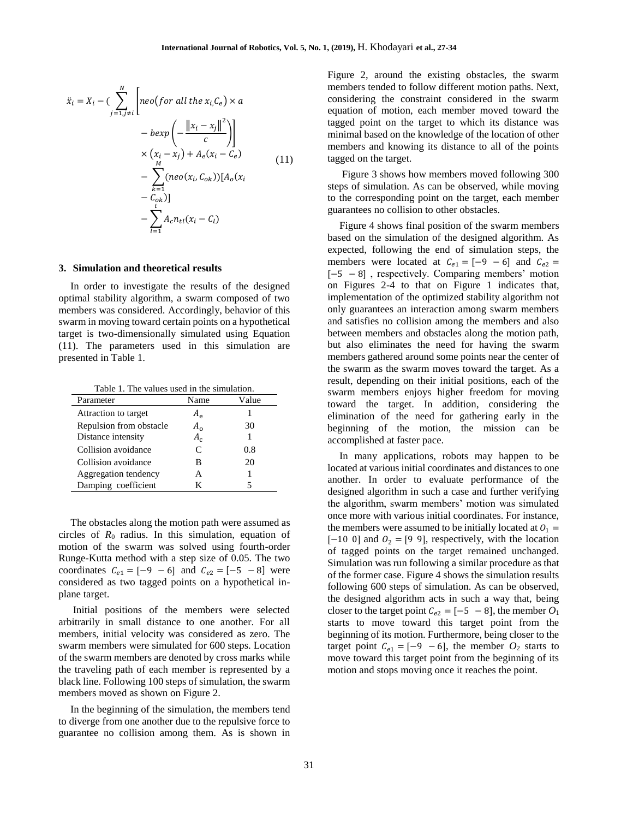$$
\ddot{x}_i = X_i - \left(\sum_{j=1, j\neq i}^N \left[ neo(for all the x_i, C_e) \times a - bexp\left(-\frac{\|x_i - x_j\|^2}{c}\right) \right] \times \left(x_i - x_j\right) + A_e(x_i - C_e) - \sum_{k=1}^M (neo(x_i, C_{ok})) [A_o(x_i - C_{ok})] - \sum_{l=1}^k A_c n_{tl}(x_i - C_l)
$$
\n(11)

#### **3. Simulation and theoretical results**

In order to investigate the results of the designed optimal stability algorithm, a swarm composed of two members was considered. Accordingly, behavior of this swarm in moving toward certain points on a hypothetical target is two-dimensionally simulated using Equation (11). The parameters used in this simulation are presented in Table 1.

Table 1. The values used in the simulation.

| Parameter               | Name         | Value |
|-------------------------|--------------|-------|
| Attraction to target    | $A_{\rho}$   |       |
| Repulsion from obstacle | $A_{\alpha}$ | 30    |
| Distance intensity      | $A_c$        |       |
| Collision avoidance     | $\mathsf{C}$ | 0.8   |
| Collision avoidance     | в            | 20    |
| Aggregation tendency    | А            |       |
| Damping coefficient     | K            |       |

The obstacles along the motion path were assumed as circles of *R*<sup>0</sup> radius. In this simulation, equation of motion of the swarm was solved using fourth-order Runge-Kutta method with a step size of 0.05. The two coordinates  $C_{e1} = [-9 - 6]$  and  $C_{e2} = [-5 - 8]$  were considered as two tagged points on a hypothetical inplane target.

Initial positions of the members were selected arbitrarily in small distance to one another. For all members, initial velocity was considered as zero. The swarm members were simulated for 600 steps. Location of the swarm members are denoted by cross marks while the traveling path of each member is represented by a black line. Following 100 steps of simulation, the swarm members moved as shown on Figure 2.

In the beginning of the simulation, the members tend to diverge from one another due to the repulsive force to guarantee no collision among them. As is shown in

Figure 2, around the existing obstacles, the swarm members tended to follow different motion paths. Next, considering the constraint considered in the swarm equation of motion, each member moved toward the tagged point on the target to which its distance was minimal based on the knowledge of the location of other members and knowing its distance to all of the points tagged on the target.

Figure 3 shows how members moved following 300 steps of simulation. As can be observed, while moving to the corresponding point on the target, each member guarantees no collision to other obstacles.

Figure 4 shows final position of the swarm members based on the simulation of the designed algorithm. As expected, following the end of simulation steps, the members were located at  $C_{e1} = [-9 - 6]$  and  $C_{e2} =$ [−5 − 8] , respectively. Comparing members' motion on Figures 2-4 to that on Figure 1 indicates that, implementation of the optimized stability algorithm not only guarantees an interaction among swarm members and satisfies no collision among the members and also between members and obstacles along the motion path, but also eliminates the need for having the swarm members gathered around some points near the center of the swarm as the swarm moves toward the target. As a result, depending on their initial positions, each of the swarm members enjoys higher freedom for moving toward the target. In addition, considering the elimination of the need for gathering early in the beginning of the motion, the mission can be accomplished at faster pace.

In many applications, robots may happen to be located at various initial coordinates and distances to one another. In order to evaluate performance of the designed algorithm in such a case and further verifying the algorithm, swarm members' motion was simulated once more with various initial coordinates. For instance, the members were assumed to be initially located at  $0<sub>1</sub> =$  $[-10 \ 0]$  and  $0<sub>2</sub> = [9 \ 9]$ , respectively, with the location of tagged points on the target remained unchanged. Simulation was run following a similar procedure as that of the former case. Figure 4 shows the simulation results following 600 steps of simulation. As can be observed, the designed algorithm acts in such a way that, being closer to the target point  $C_{e2} = [-5 - 8]$ , the member  $O_1$ starts to move toward this target point from the beginning of its motion. Furthermore, being closer to the target point  $C_{e1} = [-9 - 6]$ , the member  $O_2$  starts to move toward this target point from the beginning of its motion and stops moving once it reaches the point.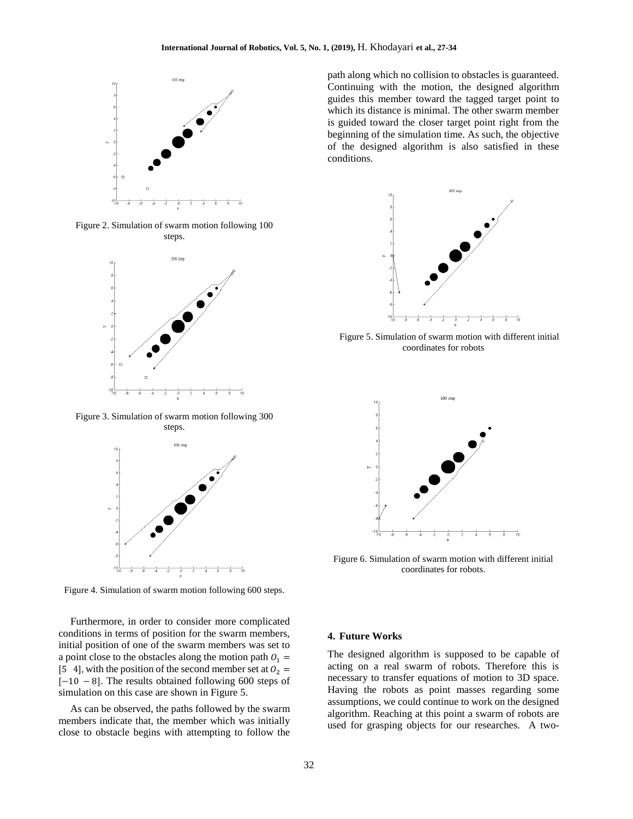

Figure 2. Simulation of swarm motion following 100 steps.



Figure 3. Simulation of swarm motion following 300 steps.



Figure 4. Simulation of swarm motion following 600 steps.

Furthermore, in order to consider more complicated conditions in terms of position for the swarm members, initial position of one of the swarm members was set to a point close to the obstacles along the motion path  $0_1 =$ [5 4], with the position of the second member set at  $0_2$  = [−10 − 8]. The results obtained following 600 steps of simulation on this case are shown in Figure 5.

As can be observed, the paths followed by the swarm members indicate that, the member which was initially close to obstacle begins with attempting to follow the path along which no collision to obstacles is guaranteed. Continuing with the motion, the designed algorithm guides this member toward the tagged target point to which its distance is minimal. The other swarm member is guided toward the closer target point right from the beginning of the simulation time. As such, the objective of the designed algorithm is also satisfied in these conditions.



Figure 5. Simulation of swarm motion with different initial coordinates for robots



Figure 6. Simulation of swarm motion with different initial coordinates for robots.

#### **4. Future Works**

The designed algorithm is supposed to be capable of acting on a real swarm of robots. Therefore this is necessary to transfer equations of motion to 3D space. Having the robots as point masses regarding some assumptions, we could continue to work on the designed algorithm. Reaching at this point a swarm of robots are used for grasping objects for our researches. A two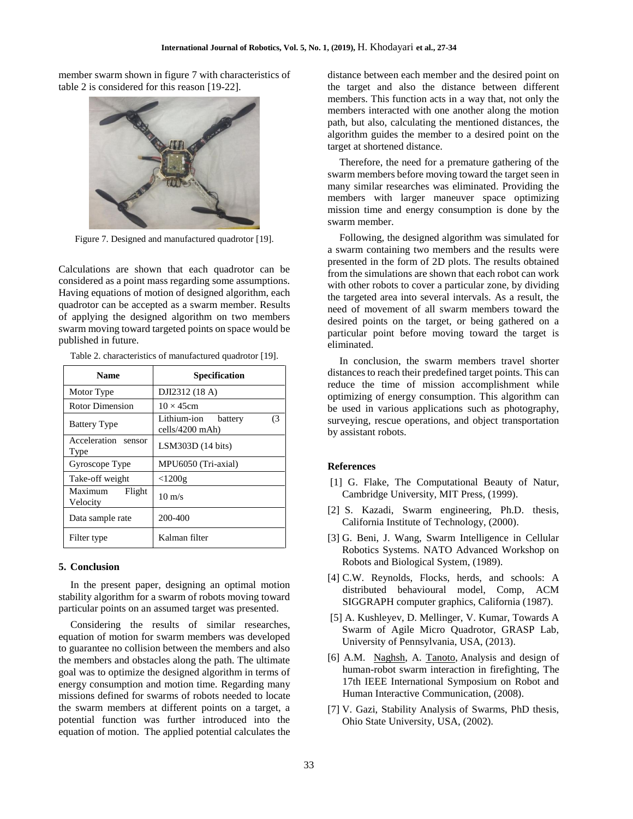member swarm shown in figure 7 with characteristics of table 2 is considered for this reason [19-22].



Figure 7. Designed and manufactured quadrotor [19].

Calculations are shown that each quadrotor can be considered as a point mass regarding some assumptions. Having equations of motion of designed algorithm, each quadrotor can be accepted as a swarm member. Results of applying the designed algorithm on two members swarm moving toward targeted points on space would be published in future.

Table 2. characteristics of manufactured quadrotor [19]. **Name Specification**

| <b>Name</b>                   | <b>Specification</b>                              |  |
|-------------------------------|---------------------------------------------------|--|
| Motor Type                    | DJI2312 (18 A)                                    |  |
| Rotor Dimension               | $10 \times 45$ cm                                 |  |
| <b>Battery Type</b>           | Lithium-ion<br>(3<br>battery<br>$cells/4200$ mAh) |  |
| Acceleration sensor<br>Type   | LSM303D (14 bits)                                 |  |
| Gyroscope Type                | MPU6050 (Tri-axial)                               |  |
| Take-off weight               | $<$ 1200g                                         |  |
| Maximum<br>Flight<br>Velocity | $10 \text{ m/s}$                                  |  |
| Data sample rate              | 200-400                                           |  |
| Filter type                   | Kalman filter                                     |  |

### **5. Conclusion**

In the present paper, designing an optimal motion stability algorithm for a swarm of robots moving toward particular points on an assumed target was presented.

Considering the results of similar researches, equation of motion for swarm members was developed to guarantee no collision between the members and also the members and obstacles along the path. The ultimate goal was to optimize the designed algorithm in terms of energy consumption and motion time. Regarding many missions defined for swarms of robots needed to locate the swarm members at different points on a target, a potential function was further introduced into the equation of motion. The applied potential calculates the distance between each member and the desired point on the target and also the distance between different members. This function acts in a way that, not only the members interacted with one another along the motion path, but also, calculating the mentioned distances, the algorithm guides the member to a desired point on the target at shortened distance.

Therefore, the need for a premature gathering of the swarm members before moving toward the target seen in many similar researches was eliminated. Providing the members with larger maneuver space optimizing mission time and energy consumption is done by the swarm member.

Following, the designed algorithm was simulated for a swarm containing two members and the results were presented in the form of 2D plots. The results obtained from the simulations are shown that each robot can work with other robots to cover a particular zone, by dividing the targeted area into several intervals. As a result, the need of movement of all swarm members toward the desired points on the target, or being gathered on a particular point before moving toward the target is eliminated.

In conclusion, the swarm members travel shorter distances to reach their predefined target points. This can reduce the time of mission accomplishment while optimizing of energy consumption. This algorithm can be used in various applications such as photography, surveying, rescue operations, and object transportation by assistant robots.

# **References**

- [1] G. Flake, The Computational Beauty of Natur, Cambridge University, MIT Press, (1999).
- [2] S. Kazadi, Swarm engineering, Ph.D. thesis, California Institute of Technology, (2000).
- [3] G. Beni, J. Wang, Swarm Intelligence in Cellular Robotics Systems. NATO Advanced Workshop on Robots and Biological System, (1989).
- [4] C.W. Reynolds, Flocks, herds, and schools: A distributed behavioural model, Comp, ACM SIGGRAPH computer graphics, California (1987).
- [5] A. Kushleyev, D. Mellinger, V. Kumar, Towards A Swarm of Agile Micro Quadrotor, GRASP Lab, University of Pennsylvania, USA, (2013).
- [6] A.M. [Naghsh,](http://ieeexplore.ieee.org/search/searchresult.jsp?searchWithin=%22Authors%22:.QT.Amir%20M.%20Naghsh.QT.&newsearch=true) A. [Tanoto,](http://ieeexplore.ieee.org/search/searchresult.jsp?searchWithin=%22Authors%22:.QT.Andry%20Tanoto.QT.&newsearch=true) Analysis and design of human-robot swarm interaction in firefighting, The 17th IEEE International Symposium on Robot and Human Interactive Communication, (2008).
- [7] V. Gazi, Stability Analysis of Swarms, PhD thesis, Ohio State University, USA, (2002).